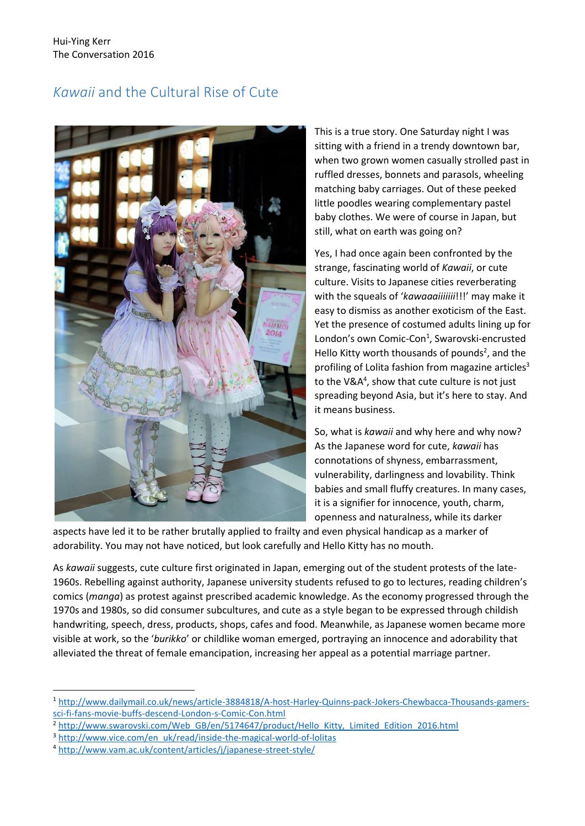## *Kawaii* and the Cultural Rise of Cute



This is a true story. One Saturday night I was sitting with a friend in a trendy downtown bar, when two grown women casually strolled past in ruffled dresses, bonnets and parasols, wheeling matching baby carriages. Out of these peeked little poodles wearing complementary pastel baby clothes. We were of course in Japan, but still, what on earth was going on?

Yes, I had once again been confronted by the strange, fascinating world of *Kawaii*, or cute culture. Visits to Japanese cities reverberating with the squeals of '*kawaaaiiiiiii*!!!' may make it easy to dismiss as another exoticism of the East. Yet the presence of costumed adults lining up for London's own Comic-Con<sup>1</sup>, Swarovski-encrusted Hello Kitty worth thousands of pounds<sup>2</sup>, and the profiling of Lolita fashion from magazine articles<sup>3</sup> to the V&A<sup>4</sup>, show that cute culture is not just spreading beyond Asia, but it's here to stay. And it means business.

So, what is *kawaii* and why here and why now? As the Japanese word for cute, *kawaii* has connotations of shyness, embarrassment, vulnerability, darlingness and lovability. Think babies and small fluffy creatures. In many cases, it is a signifier for innocence, youth, charm, openness and naturalness, while its darker

aspects have led it to be rather brutally applied to frailty and even physical handicap as a marker of adorability. You may not have noticed, but look carefully and Hello Kitty has no mouth.

As *kawaii* suggests, cute culture first originated in Japan, emerging out of the student protests of the late-1960s. Rebelling against authority, Japanese university students refused to go to lectures, reading children's comics (*manga*) as protest against prescribed academic knowledge. As the economy progressed through the 1970s and 1980s, so did consumer subcultures, and cute as a style began to be expressed through childish handwriting, speech, dress, products, shops, cafes and food. Meanwhile, as Japanese women became more visible at work, so the '*burikko*' or childlike woman emerged, portraying an innocence and adorability that alleviated the threat of female emancipation, increasing her appeal as a potential marriage partner.

**.** 

<sup>1</sup> [http://www.dailymail.co.uk/news/article-3884818/A-host-Harley-Quinns-pack-Jokers-Chewbacca-Thousands-gamers](http://www.dailymail.co.uk/news/article-3884818/A-host-Harley-Quinns-pack-Jokers-Chewbacca-Thousands-gamers-sci-fi-fans-movie-buffs-descend-London-s-Comic-Con.html)[sci-fi-fans-movie-buffs-descend-London-s-Comic-Con.html](http://www.dailymail.co.uk/news/article-3884818/A-host-Harley-Quinns-pack-Jokers-Chewbacca-Thousands-gamers-sci-fi-fans-movie-buffs-descend-London-s-Comic-Con.html)

<sup>&</sup>lt;sup>2</sup> [http://www.swarovski.com/Web\\_GB/en/5174647/product/Hello\\_Kitty,\\_Limited\\_Edition\\_2016.html](http://www.swarovski.com/Web_GB/en/5174647/product/Hello_Kitty,_Limited_Edition_2016.html)

<sup>3</sup> [http://www.vice.com/en\\_uk/read/inside-the-magical-world-of-lolitas](http://www.vice.com/en_uk/read/inside-the-magical-world-of-lolitas)

<sup>4</sup> <http://www.vam.ac.uk/content/articles/j/japanese-street-style/>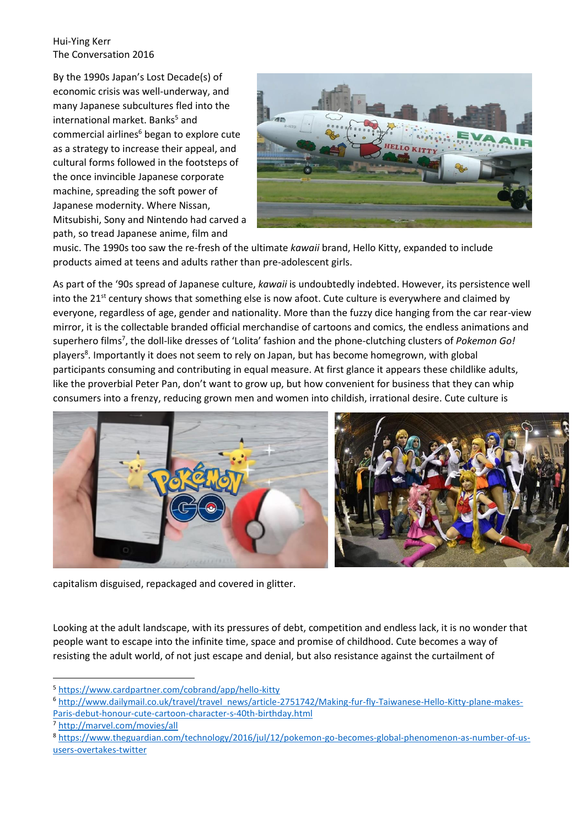Hui-Ying Kerr The Conversation 2016

By the 1990s Japan's Lost Decade(s) of economic crisis was well-underway, and many Japanese subcultures fled into the international market. Banks<sup>5</sup> and commercial airlines<sup>6</sup> began to explore cute as a strategy to increase their appeal, and cultural forms followed in the footsteps of the once invincible Japanese corporate machine, spreading the soft power of Japanese modernity. Where Nissan, Mitsubishi, Sony and Nintendo had carved a path, so tread Japanese anime, film and



music. The 1990s too saw the re-fresh of the ultimate *kawaii* brand, Hello Kitty, expanded to include products aimed at teens and adults rather than pre-adolescent girls.

As part of the '90s spread of Japanese culture, *kawaii* is undoubtedly indebted. However, its persistence well into the 21<sup>st</sup> century shows that something else is now afoot. Cute culture is everywhere and claimed by everyone, regardless of age, gender and nationality. More than the fuzzy dice hanging from the car rear-view mirror, it is the collectable branded official merchandise of cartoons and comics, the endless animations and superhero films<sup>7</sup>, the doll-like dresses of 'Lolita' fashion and the phone-clutching clusters of *Pokemon Go!* players<sup>8</sup>. Importantly it does not seem to rely on Japan, but has become homegrown, with global participants consuming and contributing in equal measure. At first glance it appears these childlike adults, like the proverbial Peter Pan, don't want to grow up, but how convenient for business that they can whip consumers into a frenzy, reducing grown men and women into childish, irrational desire. Cute culture is



capitalism disguised, repackaged and covered in glitter.

Looking at the adult landscape, with its pressures of debt, competition and endless lack, it is no wonder that people want to escape into the infinite time, space and promise of childhood. Cute becomes a way of resisting the adult world, of not just escape and denial, but also resistance against the curtailment of

**.** 

<sup>5</sup> <https://www.cardpartner.com/cobrand/app/hello-kitty>

<sup>6</sup> [http://www.dailymail.co.uk/travel/travel\\_news/article-2751742/Making-fur-fly-Taiwanese-Hello-Kitty-plane-makes-](http://www.dailymail.co.uk/travel/travel_news/article-2751742/Making-fur-fly-Taiwanese-Hello-Kitty-plane-makes-Paris-debut-honour-cute-cartoon-character-s-40th-birthday.html)[Paris-debut-honour-cute-cartoon-character-s-40th-birthday.html](http://www.dailymail.co.uk/travel/travel_news/article-2751742/Making-fur-fly-Taiwanese-Hello-Kitty-plane-makes-Paris-debut-honour-cute-cartoon-character-s-40th-birthday.html)

<sup>7</sup> <http://marvel.com/movies/all>

<sup>8</sup> [https://www.theguardian.com/technology/2016/jul/12/pokemon-go-becomes-global-phenomenon-as-number-of-us](https://www.theguardian.com/technology/2016/jul/12/pokemon-go-becomes-global-phenomenon-as-number-of-us-users-overtakes-twitter)[users-overtakes-twitter](https://www.theguardian.com/technology/2016/jul/12/pokemon-go-becomes-global-phenomenon-as-number-of-us-users-overtakes-twitter)